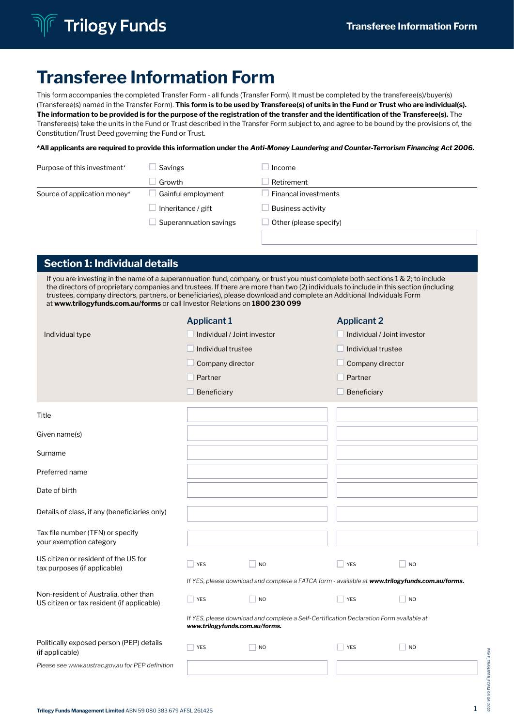

# Transferee Information Form

This form accompanies the completed Transfer Form - all funds (Transfer Form). It must be completed by the transferee(s)/buyer(s) (Transferee(s) named in the Transfer Form). This form is to be used by Transferee(s) of units in the Fund or Trust who are individual(s). The information to be provided is for the purpose of the registration of the transfer and the identification of the Transferee(s). The Transferee(s) take the units in the Fund or Trust described in the Transfer Form subject to, and agree to be bound by the provisions of, the Constitution/Trust Deed governing the Fund or Trust.

\*All applicants are required to provide this information under the *Anti-Money Laundering and Counter-Terrorism Financing Act 2006.*

| Purpose of this investment*  | Savings                | Income                   |  |  |
|------------------------------|------------------------|--------------------------|--|--|
|                              | Growth                 | Retirement               |  |  |
| Source of application money* | Gainful employment     | Financal investments     |  |  |
|                              | Inheritance / gift     | <b>Business activity</b> |  |  |
|                              | Superannuation savings | Other (please specify)   |  |  |
|                              |                        |                          |  |  |

# Section 1: Individual details

If you are investing in the name of a superannuation fund, company, or trust you must complete both sections 1 & 2; to include the directors of proprietary companies and trustees. If there are more than two (2) individuals to include in this section (including trustees, company directors, partners, or beneficiaries), please download and complete an Additional Individuals Form at www.trilogyfunds.com.au/forms or call Investor Relations on 1800 230 099

|                                                                                     | <b>Applicant 1</b>             |                                                                                                 | <b>Applicant 2</b>          |                             |
|-------------------------------------------------------------------------------------|--------------------------------|-------------------------------------------------------------------------------------------------|-----------------------------|-----------------------------|
| Individual type                                                                     | Individual / Joint investor    |                                                                                                 | Individual / Joint investor |                             |
|                                                                                     | Individual trustee             |                                                                                                 | Individual trustee          |                             |
|                                                                                     | Company director               |                                                                                                 | Company director            |                             |
|                                                                                     | Partner                        |                                                                                                 | Partner                     |                             |
|                                                                                     | Beneficiary                    |                                                                                                 | Beneficiary                 |                             |
| Title                                                                               |                                |                                                                                                 |                             |                             |
| Given name(s)                                                                       |                                |                                                                                                 |                             |                             |
| Surname                                                                             |                                |                                                                                                 |                             |                             |
| Preferred name                                                                      |                                |                                                                                                 |                             |                             |
| Date of birth                                                                       |                                |                                                                                                 |                             |                             |
| Details of class, if any (beneficiaries only)                                       |                                |                                                                                                 |                             |                             |
| Tax file number (TFN) or specify<br>your exemption category                         |                                |                                                                                                 |                             |                             |
| US citizen or resident of the US for<br>tax purposes (if applicable)                | YES                            | N <sub>O</sub>                                                                                  | YES                         | $\overline{\phantom{a}}$ NO |
|                                                                                     |                                | If YES, please download and complete a FATCA form - available at www.trilogyfunds.com.au/forms. |                             |                             |
| Non-resident of Australia, other than<br>US citizen or tax resident (if applicable) | <b>YES</b>                     | <b>NO</b>                                                                                       | YES                         | N <sub>O</sub>              |
|                                                                                     | www.trilogyfunds.com.au/forms. | If YES, please download and complete a Self-Certification Declaration Form available at         |                             |                             |
| Politically exposed person (PEP) details<br>(if applicable)                         | YES                            | N <sub>O</sub>                                                                                  | <b>YES</b>                  | N <sub>O</sub>              |
| Please see www.austrac.gov.au for PEP definition                                    |                                |                                                                                                 |                             |                             |
|                                                                                     |                                |                                                                                                 |                             |                             |

PFMF\_TRANSFER\_FORM-03-06-2022

**HOME** 

202

**HMF\_IRANSFER**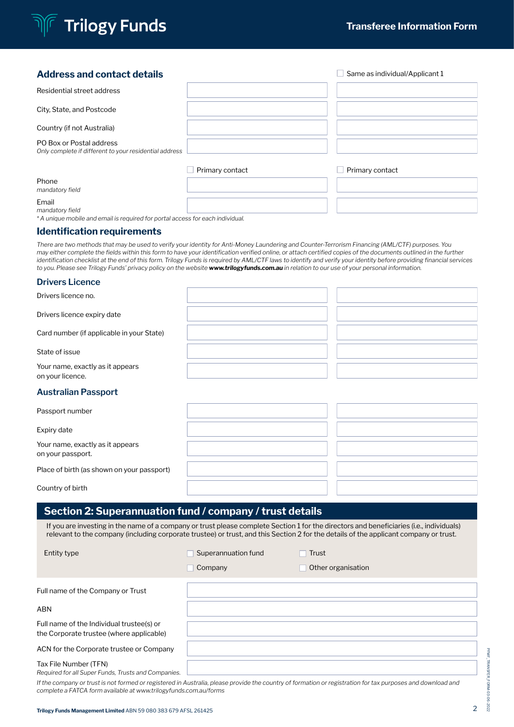

# $**Same as individual/Application1**$ Residential street address City, State, and Postcode Country (if not Australia) PO Box or Postal address *Only complete if different to your residential address*  $\Box$  Primary contact  $\Box$  Primary contact Phone *mandatory field*

Email *mandatory field*

*\* A unique mobile and email is required for portal access for each individual.*

#### Identification requirements

*There are two methods that may be used to verify your identity for Anti-Money Laundering and Counter-Terrorism Financing (AML/CTF) purposes. You may either complete the fields within this form to have your identification verified online, or attach certified copies of the documents outlined in the further identification checklist at the end of this form. Trilogy Funds is required by AML/CTF laws to identify and verify your identity before providing financial services to you. Please see Trilogy Funds' privacy policy on the website www.trilogyfunds.com.au in relation to our use of your personal information.*

#### **Drivers Licence**

| Drivers licence no.                                  |  |
|------------------------------------------------------|--|
| Drivers licence expiry date                          |  |
| Card number (if applicable in your State)            |  |
| State of issue                                       |  |
| Your name, exactly as it appears<br>on your licence. |  |

#### **Australian Passport**

| Passport number                                       |  |  |
|-------------------------------------------------------|--|--|
| Expiry date                                           |  |  |
| Your name, exactly as it appears<br>on your passport. |  |  |
| Place of birth (as shown on your passport)            |  |  |
| Country of birth                                      |  |  |

# Section 2: Superannuation fund / company / trust details

If you are investing in the name of a company or trust please complete Section 1 for the directors and beneficiaries (i.e., individuals) relevant to the company (including corporate trustee) or trust, and this Section 2 for the details of the applicant company or trust.

| <b>Entity type</b>                                                                    | Superannuation fund | Trust              |
|---------------------------------------------------------------------------------------|---------------------|--------------------|
|                                                                                       | Company             | Other organisation |
| Full name of the Company or Trust                                                     |                     |                    |
| <b>ABN</b>                                                                            |                     |                    |
| Full name of the Individual trustee(s) or<br>the Corporate trustee (where applicable) |                     |                    |
| ACN for the Corporate trustee or Company                                              |                     |                    |
| Tax File Number (TFN)<br>Required for all Super Funds, Trusts and Companies.          |                     |                    |

PFMF\_TRANSFER\_FORM-03-06-2022

702

PFMF\_TRANSFER\_FORM

*If the company or trust is not formed or registered in Australia, please provide the country of formation or registration for tax purposes and download and complete a FATCA form available at www.trilogyfunds.com.au/forms*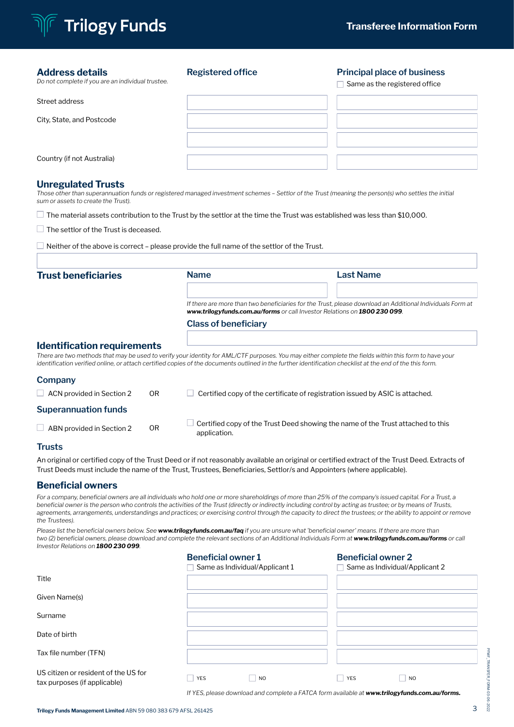

#### Address details

*Do not complete if you are an individual trustee.*

### **Registered office Principal place of business**

 $\Box$  Same as the registered office

| Street address             |  |
|----------------------------|--|
| City, State, and Postcode  |  |
|                            |  |
| Country (if not Australia) |  |

#### Unregulated Trusts

*Those other than superannuation funds or registered managed investment schemes – Settlor of the Trust (meaning the person(s) who settles the initial sum or assets to create the Trust).*

 $\Box$  The material assets contribution to the Trust by the settlor at the time the Trust was established was less than \$10,000.

 $\Box$  The settlor of the Trust is deceased.

 $\Box$  Neither of the above is correct – please provide the full name of the settlor of the Trust.

| <b>Trust beneficiaries</b>         |                             | <b>Name</b>  | <b>Last Name</b>                                                                                                                                                                                                                                                                                                   |  |  |  |  |
|------------------------------------|-----------------------------|--------------|--------------------------------------------------------------------------------------------------------------------------------------------------------------------------------------------------------------------------------------------------------------------------------------------------------------------|--|--|--|--|
|                                    |                             |              | If there are more than two beneficiaries for the Trust, please download an Additional Individuals Form at<br>www.trilogyfunds.com.au/forms or call Investor Relations on 1800 230 099.                                                                                                                             |  |  |  |  |
|                                    | <b>Class of beneficiary</b> |              |                                                                                                                                                                                                                                                                                                                    |  |  |  |  |
| <b>Identification requirements</b> |                             |              | There are two methods that may be used to verify your identity for AML/CTF purposes. You may either complete the fields within this form to have your<br>identification verified online, or attach certified copies of the documents outlined in the further identification checklist at the end of the this form. |  |  |  |  |
| Company                            |                             |              |                                                                                                                                                                                                                                                                                                                    |  |  |  |  |
| $\Box$ ACN provided in Section 2   | 0 <sub>R</sub>              |              | Certified copy of the certificate of registration issued by ASIC is attached.                                                                                                                                                                                                                                      |  |  |  |  |
| <b>Superannuation funds</b>        |                             |              |                                                                                                                                                                                                                                                                                                                    |  |  |  |  |
| ABN provided in Section 2          | 0 <sub>R</sub>              | application. | Certified copy of the Trust Deed showing the name of the Trust attached to this                                                                                                                                                                                                                                    |  |  |  |  |
| __                                 |                             |              |                                                                                                                                                                                                                                                                                                                    |  |  |  |  |

# **Trusts**

An original or certified copy of the Trust Deed or if not reasonably available an original or certified extract of the Trust Deed. Extracts of Trust Deeds must include the name of the Trust, Trustees, Beneficiaries, Settlor/s and Appointers (where applicable).

### Beneficial owners

For a company, beneficial owners are all individuals who hold one or more shareholdings of more than 25% of the company's issued capital. For a Trust, a *beneficial owner is the person who controls the activities of the Trust (directly or indirectly including control by acting as trustee; or by means of Trusts, agreements, arrangements, understandings and practices; or exercising control through the capacity to direct the trustees; or the ability to appoint or remove the Trustees).* 

*Please list the beneficial owners below. See www.trilogyfunds.com.au/faq if you are unsure what 'beneficial owner' means. If there are more than*  two (2) beneficial owners, please download and complete the relevant sections of an Additional Individuals Form at **www.trilogyfunds.com.au/forms** or call *Investor Relations on 1800 230 099.*

|                                                                      | <b>Beneficial owner 1</b> | Same as Individual/Applicant 1 | <b>Beneficial owner 2</b> | Same as Individual/Applicant 2 |  |
|----------------------------------------------------------------------|---------------------------|--------------------------------|---------------------------|--------------------------------|--|
| Title                                                                |                           |                                |                           |                                |  |
| Given Name(s)                                                        |                           |                                |                           |                                |  |
| Surname                                                              |                           |                                |                           |                                |  |
| Date of birth                                                        |                           |                                |                           |                                |  |
| Tax file number (TFN)                                                |                           |                                |                           |                                |  |
| US citizen or resident of the US for<br>tax purposes (if applicable) | <b>YES</b>                | N <sub>O</sub>                 | YES                       | <b>NO</b>                      |  |

*If YES, please download and complete a FATCA form available at www.trilogyfunds.com.au/forms.*

PFMF\_TRANSFER\_FORM-03-06-2022

-2022

PFMF\_TRANSFER\_FORM-03-06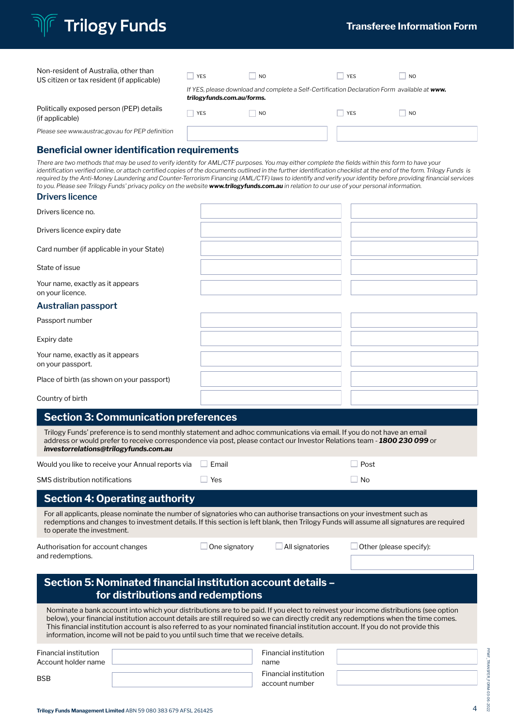| <b>Transferee Information Form</b> |  |  |  |
|------------------------------------|--|--|--|
|                                    |  |  |  |

| Non-resident of Australia, other than<br>US citizen or tax resident (if applicable) | <b>YES</b>                 | <b>NO</b>                                                                                    | <b>YES</b> | N <sub>0</sub> |
|-------------------------------------------------------------------------------------|----------------------------|----------------------------------------------------------------------------------------------|------------|----------------|
|                                                                                     | trilogyfunds.com.au/forms. | If YES, please download and complete a Self-Certification Declaration Form available at www. |            |                |
| Politically exposed person (PEP) details<br>(if applicable)                         | <b>YES</b>                 | N <sub>O</sub>                                                                               | <b>YES</b> | N <sub>O</sub> |
| Please see www.austrac.gov.au for PEP definition                                    |                            |                                                                                              |            |                |
| <b>Beneficial owner identification requirements</b>                                 |                            |                                                                                              |            |                |

*There are two methods that may be used to verify identity for AML/CTF purposes. You may either complete the fields within this form to have your identification verified online, or attach certified copies of the documents outlined in the further identification checklist at the end of the form. Trilogy Funds is required by the Anti-Money Laundering and Counter-Terrorism Financing (AML/CTF) laws to identify and verify your identity before providing financial services to you. Please see Trilogy Funds' privacy policy on the website www.trilogyfunds.com.au in relation to our use of your personal information.*

**Trilogy Funds** 

| Drivers licence no.                                   |  |  |
|-------------------------------------------------------|--|--|
| Drivers licence expiry date                           |  |  |
| Card number (if applicable in your State)             |  |  |
| State of issue                                        |  |  |
| Your name, exactly as it appears<br>on your licence.  |  |  |
| Australian passport                                   |  |  |
| Passport number                                       |  |  |
| Expiry date                                           |  |  |
| Your name, exactly as it appears<br>on your passport. |  |  |
| Place of birth (as shown on your passport)            |  |  |
| Country of birth                                      |  |  |

| <b>Section 3: Communication preferences</b>                                                                                                                                                                                                                                                                                                                                                                                                                                                                |               |                                                                                 |                         |
|------------------------------------------------------------------------------------------------------------------------------------------------------------------------------------------------------------------------------------------------------------------------------------------------------------------------------------------------------------------------------------------------------------------------------------------------------------------------------------------------------------|---------------|---------------------------------------------------------------------------------|-------------------------|
| Trilogy Funds' preference is to send monthly statement and adhoc communications via email. If you do not have an email<br>address or would prefer to receive correspondence via post, please contact our Investor Relations team - 1800 230 099 or<br>investorrelations@trilogyfunds.com.au                                                                                                                                                                                                                |               |                                                                                 |                         |
| Would you like to receive your Annual reports via                                                                                                                                                                                                                                                                                                                                                                                                                                                          | Email         |                                                                                 | Post                    |
| <b>SMS</b> distribution notifications                                                                                                                                                                                                                                                                                                                                                                                                                                                                      | Yes           |                                                                                 | No                      |
| <b>Section 4: Operating authority</b>                                                                                                                                                                                                                                                                                                                                                                                                                                                                      |               |                                                                                 |                         |
| For all applicants, please nominate the number of signatories who can authorise transactions on your investment such as<br>redemptions and changes to investment details. If this section is left blank, then Trilogy Funds will assume all signatures are required<br>to operate the investment.                                                                                                                                                                                                          |               |                                                                                 |                         |
| Authorisation for account changes<br>and redemptions.                                                                                                                                                                                                                                                                                                                                                                                                                                                      | One signatory | All signatories                                                                 | Other (please specify): |
| Section 5: Nominated financial institution account details -<br>for distributions and redemptions                                                                                                                                                                                                                                                                                                                                                                                                          |               |                                                                                 |                         |
| Nominate a bank account into which your distributions are to be paid. If you elect to reinvest your income distributions (see option<br>below), your financial institution account details are still required so we can directly credit any redemptions when the time comes.<br>This financial institution account is also referred to as your nominated financial institution account. If you do not provide this<br>information, income will not be paid to you until such time that we receive details. |               |                                                                                 |                         |
| Financial institution<br>Account holder name<br><b>BSB</b>                                                                                                                                                                                                                                                                                                                                                                                                                                                 |               | Financial institution<br>name<br><b>Financial institution</b><br>account number |                         |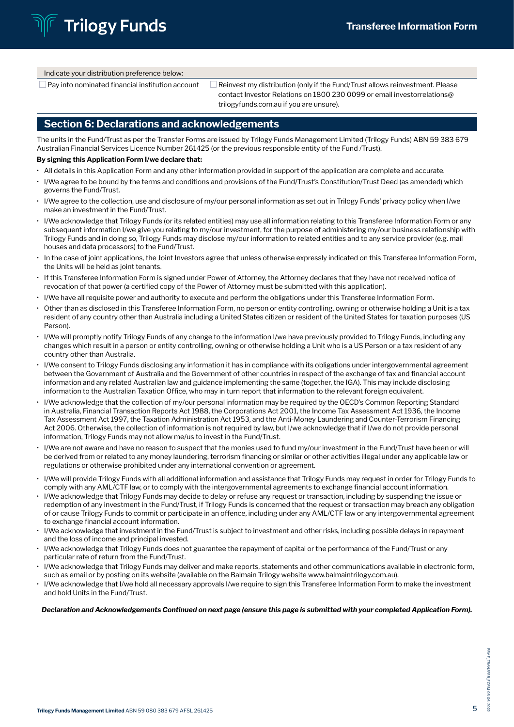Indicate your distribution preference below:

 $\square$  Pay into nominated financial institution account  $\square$  Reinvest my distribution (only if the Fund/Trust allows reinvestment. Please contact Investor Relations on 1800 230 0099 or email investorrelations@ trilogyfunds.com.au if you are unsure).

# Section 6: Declarations and acknowledgements

The units in the Fund/Trust as per the Transfer Forms are issued by Trilogy Funds Management Limited (Trilogy Funds) ABN 59 383 679 Australian Financial Services Licence Number 261425 (or the previous responsible entity of the Fund /Trust).

#### By signing this Application Form I/we declare that:

- All details in this Application Form and any other information provided in support of the application are complete and accurate.
- I/We agree to be bound by the terms and conditions and provisions of the Fund/Trust's Constitution/Trust Deed (as amended) which governs the Fund/Trust.
- I/We agree to the collection, use and disclosure of my/our personal information as set out in Trilogy Funds' privacy policy when I/we make an investment in the Fund/Trust.
- I/We acknowledge that Trilogy Funds (or its related entities) may use all information relating to this Transferee Information Form or any subsequent information I/we give you relating to my/our investment, for the purpose of administering my/our business relationship with Trilogy Funds and in doing so, Trilogy Funds may disclose my/our information to related entities and to any service provider (e.g. mail houses and data processors) to the Fund/Trust.
- In the case of joint applications, the Joint Investors agree that unless otherwise expressly indicated on this Transferee Information Form, the Units will be held as joint tenants.
- If this Transferee Information Form is signed under Power of Attorney, the Attorney declares that they have not received notice of revocation of that power (a certified copy of the Power of Attorney must be submitted with this application).
- I/We have all requisite power and authority to execute and perform the obligations under this Transferee Information Form.
- Other than as disclosed in this Transferee Information Form, no person or entity controlling, owning or otherwise holding a Unit is a tax resident of any country other than Australia including a United States citizen or resident of the United States for taxation purposes (US Person).
- I/We will promptly notify Trilogy Funds of any change to the information I/we have previously provided to Trilogy Funds, including any changes which result in a person or entity controlling, owning or otherwise holding a Unit who is a US Person or a tax resident of any country other than Australia.
- I/We consent to Trilogy Funds disclosing any information it has in compliance with its obligations under intergovernmental agreement between the Government of Australia and the Government of other countries in respect of the exchange of tax and financial account information and any related Australian law and guidance implementing the same (together, the IGA). This may include disclosing information to the Australian Taxation Office, who may in turn report that information to the relevant foreign equivalent.
- I/We acknowledge that the collection of my/our personal information may be required by the OECD's Common Reporting Standard in Australia, Financial Transaction Reports Act 1988, the Corporations Act 2001, the Income Tax Assessment Act 1936, the Income Tax Assessment Act 1997, the Taxation Administration Act 1953, and the Anti-Money Laundering and Counter-Terrorism Financing Act 2006. Otherwise, the collection of information is not required by law, but I/we acknowledge that if I/we do not provide personal information, Trilogy Funds may not allow me/us to invest in the Fund/Trust.
- I/We are not aware and have no reason to suspect that the monies used to fund my/our investment in the Fund/Trust have been or will be derived from or related to any money laundering, terrorism financing or similar or other activities illegal under any applicable law or regulations or otherwise prohibited under any international convention or agreement.
- I/We will provide Trilogy Funds with all additional information and assistance that Trilogy Funds may request in order for Trilogy Funds to comply with any AML/CTF law, or to comply with the intergovernmental agreements to exchange financial account information.
- I/We acknowledge that Trilogy Funds may decide to delay or refuse any request or transaction, including by suspending the issue or redemption of any investment in the Fund/Trust, if Trilogy Funds is concerned that the request or transaction may breach any obligation of or cause Trilogy Funds to commit or participate in an offence, including under any AML/CTF law or any intergovernmental agreement to exchange financial account information.
- I/We acknowledge that investment in the Fund/Trust is subject to investment and other risks, including possible delays in repayment and the loss of income and principal invested.
- I/We acknowledge that Trilogy Funds does not guarantee the repayment of capital or the performance of the Fund/Trust or any particular rate of return from the Fund/Trust.
- I/We acknowledge that Trilogy Funds may deliver and make reports, statements and other communications available in electronic form, such as email or by posting on its website (available on the Balmain Trilogy website www.balmaintrilogy.com.au).
- I/We acknowledge that I/we hold all necessary approvals I/we require to sign this Transferee Information Form to make the investment and hold Units in the Fund/Trust.

*Declaration and Acknowledgements Continued on next page (ensure this page is submitted with your completed Application Form).*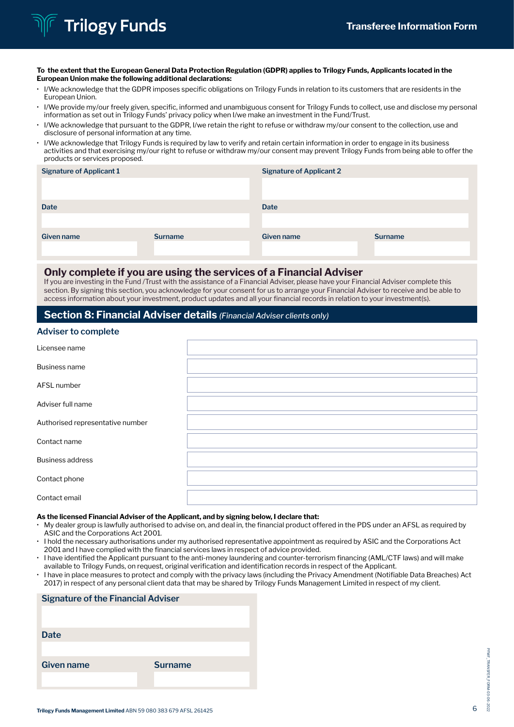# **Trilogy Funds**

#### To the extent that the European General Data Protection Regulation (GDPR) applies to Trilogy Funds, Applicants located in the European Union make the following additional declarations:

- I/We acknowledge that the GDPR imposes specific obligations on Trilogy Funds in relation to its customers that are residents in the European Union.
- I/We provide my/our freely given, specific, informed and unambiguous consent for Trilogy Funds to collect, use and disclose my personal information as set out in Trilogy Funds' privacy policy when I/we make an investment in the Fund/Trust.
- I/We acknowledge that pursuant to the GDPR, I/we retain the right to refuse or withdraw my/our consent to the collection, use and disclosure of personal information at any time.
- I/We acknowledge that Trilogy Funds is required by law to verify and retain certain information in order to engage in its business activities and that exercising my/our right to refuse or withdraw my/our consent may prevent Trilogy Funds from being able to offer the products or services proposed.

| <b>Signature of Applicant 1</b> |                | <b>Signature of Applicant 2</b> |                |
|---------------------------------|----------------|---------------------------------|----------------|
|                                 |                |                                 |                |
|                                 |                |                                 |                |
| <b>Date</b>                     |                | <b>Date</b>                     |                |
|                                 |                |                                 |                |
| Given name                      | <b>Surname</b> | Given name                      | <b>Surname</b> |
|                                 |                |                                 |                |

#### Only complete if you are using the services of a Financial Adviser

If you are investing in the Fund /Trust with the assistance of a Financial Adviser, please have your Financial Adviser complete this section. By signing this section, you acknowledge for your consent for us to arrange your Financial Adviser to receive and be able to access information about your investment, product updates and all your financial records in relation to your investment(s).

# Section 8: Financial Adviser details *(Financial Adviser clients only)*

#### **Adviser to complete**

| Licensee name                    |  |
|----------------------------------|--|
| <b>Business name</b>             |  |
| AFSL number                      |  |
| Adviser full name                |  |
| Authorised representative number |  |
| Contact name                     |  |
| <b>Business address</b>          |  |
| Contact phone                    |  |
| Contact email                    |  |

#### As the licensed Financial Adviser of the Applicant, and by signing below, I declare that:

- My dealer group is lawfully authorised to advise on, and deal in, the financial product offered in the PDS under an AFSL as required by ASIC and the Corporations Act 2001.
- I hold the necessary authorisations under my authorised representative appointment as required by ASIC and the Corporations Act 2001 and I have complied with the financial services laws in respect of advice provided.
- I have identified the Applicant pursuant to the anti-money laundering and counter-terrorism financing (AML/CTF laws) and will make available to Trilogy Funds, on request, original verification and identification records in respect of the Applicant.
- I have in place measures to protect and comply with the privacy laws (including the Privacy Amendment (Notifiable Data Breaches) Act 2017) in respect of any personal client data that may be shared by Trilogy Funds Management Limited in respect of my client.

| <b>Signature of the Financial Adviser</b> |                |  |
|-------------------------------------------|----------------|--|
|                                           |                |  |
|                                           |                |  |
| <b>Date</b>                               |                |  |
|                                           |                |  |
| Given name                                | <b>Surname</b> |  |
|                                           |                |  |
|                                           |                |  |